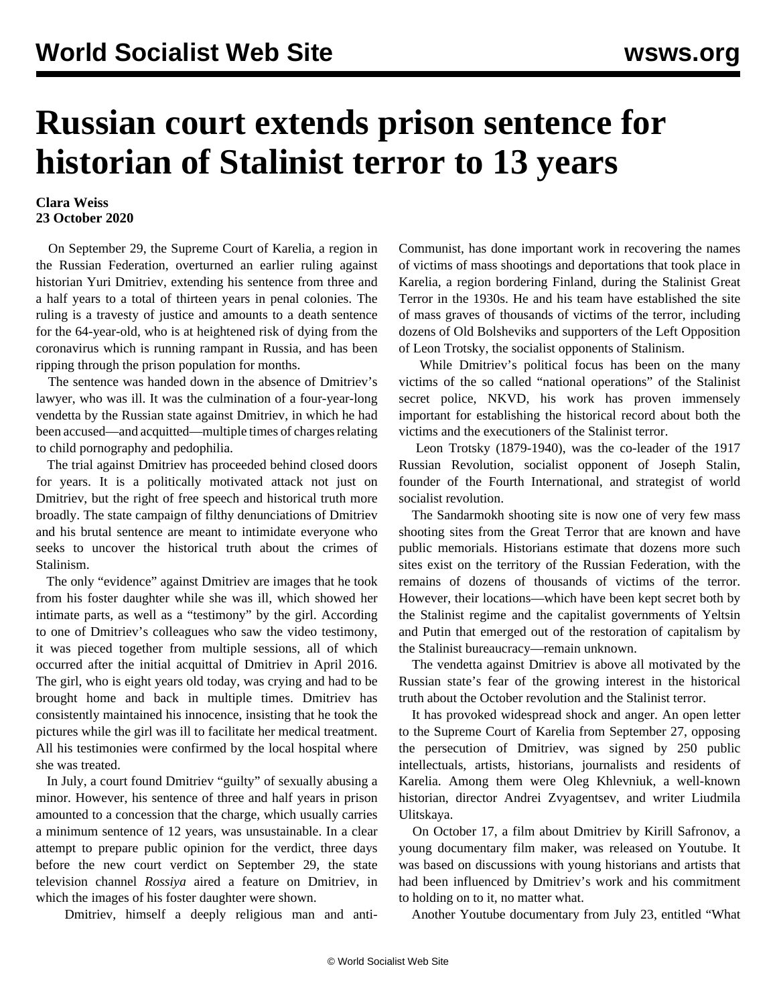## **Russian court extends prison sentence for historian of Stalinist terror to 13 years**

## **Clara Weiss 23 October 2020**

 On September 29, the Supreme Court of Karelia, a region in the Russian Federation, overturned an earlier ruling against historian Yuri Dmitriev, extending his sentence from three and a half years to a total of thirteen years in penal colonies. The ruling is a travesty of justice and amounts to a death sentence for the 64-year-old, who is at heightened risk of dying from the coronavirus which is running rampant in Russia, and has been ripping through the prison population for months.

 The sentence was handed down in the absence of Dmitriev's lawyer, who was ill. It was the culmination of a four-year-long vendetta by the Russian state against Dmitriev, in which he had been accused—and acquitted—multiple times of charges relating to child pornography and pedophilia.

 The trial against Dmitriev has proceeded behind closed doors for years. It is a politically motivated attack not just on Dmitriev, but the right of free speech and historical truth more broadly. The state campaign of filthy denunciations of Dmitriev and his brutal sentence are meant to intimidate everyone who seeks to uncover the historical truth about the crimes of Stalinism.

 The only "evidence" against Dmitriev are images that he took from his foster daughter while she was ill, which showed her intimate parts, as well as a "testimony" by the girl. According to one of Dmitriev's colleagues who saw the video testimony, it was pieced together from multiple sessions, all of which occurred after the initial acquittal of Dmitriev in April 2016. The girl, who is eight years old today, was crying and had to be brought home and back in multiple times. Dmitriev has consistently maintained his innocence, insisting that he took the pictures while the girl was ill to facilitate her medical treatment. All his testimonies were confirmed by the local hospital where she was treated.

 In July, a court found Dmitriev "guilty" of sexually abusing a minor. However, his sentence of three and half years in prison amounted to a concession that the charge, which usually carries a minimum sentence of 12 years, was unsustainable. In a clear attempt to prepare public opinion for the verdict, three days before the new court verdict on September 29, the state television channel *Rossiya* aired a feature on Dmitriev, in which the images of his foster daughter were shown.

Dmitriev, himself a deeply religious man and anti-

Communist, has done important work in recovering the names of victims of mass shootings and deportations that took place in Karelia, a region bordering Finland, during the Stalinist Great Terror in the 1930s. He and his team have established the site of mass graves of thousands of victims of the terror, including dozens of Old Bolsheviks and supporters of the Left Opposition of Leon Trotsky, the socialist opponents of Stalinism.

 While Dmitriev's political focus has been on the many victims of the so called "national operations" of the Stalinist secret police, NKVD, his work has proven immensely important for establishing the historical record about both the victims and the executioners of the Stalinist terror.

 Leon Trotsky (1879-1940), was the co-leader of the 1917 Russian Revolution, socialist opponent of Joseph Stalin, founder of the Fourth International, and strategist of world socialist revolution.

 The Sandarmokh shooting site is now one of very few mass shooting sites from the Great Terror that are known and have public memorials. Historians estimate that dozens more such sites exist on the territory of the Russian Federation, with the remains of dozens of thousands of victims of the terror. However, their locations—which have been kept secret both by the Stalinist regime and the capitalist governments of Yeltsin and Putin that emerged out of the restoration of capitalism by the Stalinist bureaucracy—remain unknown.

 The vendetta against Dmitriev is above all motivated by the Russian state's fear of the growing interest in the historical truth about the October revolution and the Stalinist terror.

 It has provoked widespread shock and anger. An open letter to the Supreme Court of Karelia from September 27, opposing the persecution of Dmitriev, was signed by 250 public intellectuals, artists, historians, journalists and residents of Karelia. Among them were Oleg Khlevniuk, a well-known historian, director Andrei Zvyagentsev, and writer Liudmila Ulitskaya.

 On October 17, a [film](https://www.youtube.com/watch?v=MBJ5asqtAF4&feature=emb_logo) about Dmitriev by Kirill Safronov, a young documentary film maker, was released on Youtube. It was based on discussions with young historians and artists that had been influenced by Dmitriev's work and his commitment to holding on to it, no matter what.

Another Youtube [documentary](https://www.youtube.com/watch?v=OxktAOsAPkA) from July 23, entitled "What